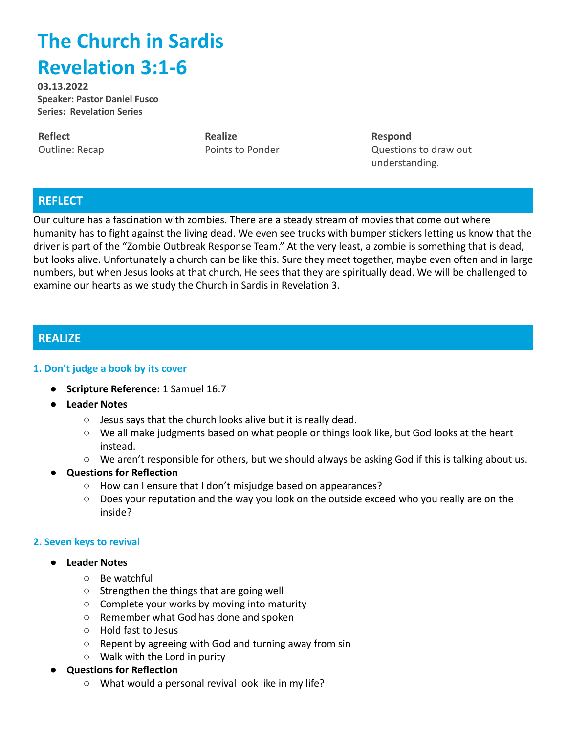# **The Church in Sardis Revelation 3:1-6**

**03.13.2022 Speaker: Pastor Daniel Fusco Series: Revelation Series**

**Reflect** Outline: Recap **Realize** Points to Ponder **Respond** Questions to draw out understanding.

## **REFLECT**

Our culture has a fascination with zombies. There are a steady stream of movies that come out where humanity has to fight against the living dead. We even see trucks with bumper stickers letting us know that the driver is part of the "Zombie Outbreak Response Team." At the very least, a zombie is something that is dead, but looks alive. Unfortunately a church can be like this. Sure they meet together, maybe even often and in large numbers, but when Jesus looks at that church, He sees that they are spiritually dead. We will be challenged to examine our hearts as we study the Church in Sardis in Revelation 3.

## **REALIZE**

#### **1. Don't judge a book by its cover**

- **● Scripture Reference:** 1 Samuel 16:7
- **● Leader Notes**
	- $\circ$  Jesus says that the church looks alive but it is really dead.
	- We all make judgments based on what people or things look like, but God looks at the heart instead.
	- We aren't responsible for others, but we should always be asking God if this is talking about us.

### ● **Questions for Reflection**

- How can I ensure that I don't misjudge based on appearances?
- Does your reputation and the way you look on the outside exceed who you really are on the inside?

#### **2. Seven keys to revival**

- **● Leader Notes**
	- Be watchful
	- Strengthen the things that are going well
	- Complete your works by moving into maturity
	- Remember what God has done and spoken
	- Hold fast to Jesus
	- Repent by agreeing with God and turning away from sin
	- Walk with the Lord in purity
- **Questions for Reflection**
	- What would a personal revival look like in my life?